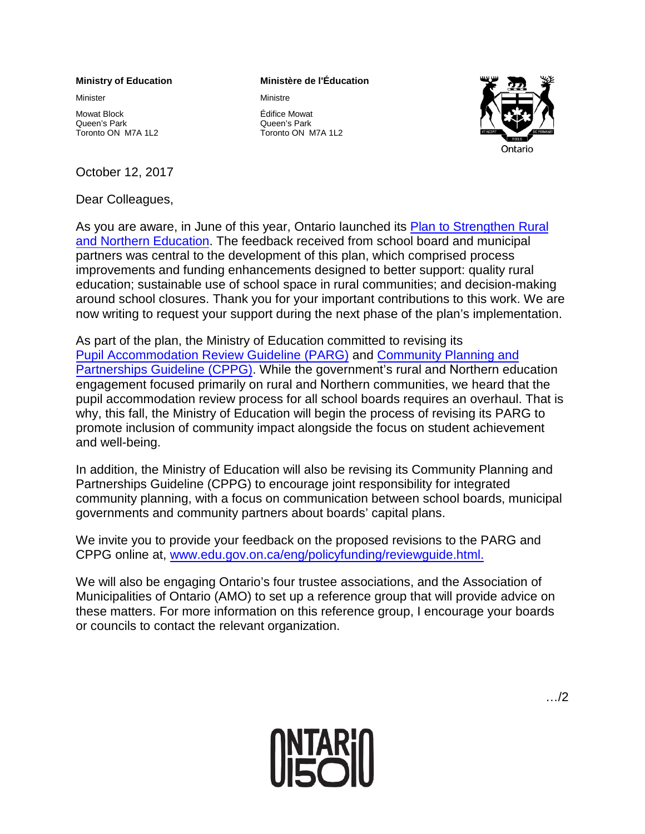## **Ministry of Education**

Minister

Mowat Block Queen's Park Toronto ON M7A 1L2

## October 12, 2017

Dear Colleagues,

## **Ministère de l'Éducation**

Ministre

Édifice Mowat Queen's Park



Toronto ON M7A 1L2

As you are aware, in June of this year, Ontario launched its [Plan to Strengthen Rural](http://www.edu.gov.on.ca/eng/parents/rural_plan.html) [and Northern Education.](http://www.edu.gov.on.ca/eng/parents/rural_plan.html) The feedback received from school board and municipal partners was central to the development of this plan, which comprised process improvements and funding enhancements designed to better support: quality rural education; sustainable use of school space in rural communities; and decision-making around school closures. Thank you for your important contributions to this work. We are now writing to request your support during the next phase of the plan's implementation.

As part of the plan, the Ministry of Education committed to revising its [Pupil Accommodation Review Guideline \(PARG\)](http://www.edu.gov.on.ca/eng/funding/1516/2015B9appenAEN.pdf) and [Community Planning and](http://edu.gov.on.ca/eng/funding/1516/2015B9appenBEN.pdf)  [Partnerships Guideline \(CPPG\).](http://edu.gov.on.ca/eng/funding/1516/2015B9appenBEN.pdf) While the government's rural and Northern education engagement focused primarily on rural and Northern communities, we heard that the pupil accommodation review process for all school boards requires an overhaul. That is why, this fall, the Ministry of Education will begin the process of revising its PARG to promote inclusion of community impact alongside the focus on student achievement and well-being.

In addition, the Ministry of Education will also be revising its Community Planning and Partnerships Guideline (CPPG) to encourage joint responsibility for integrated community planning, with a focus on communication between school boards, municipal governments and community partners about boards' capital plans.

We invite you to provide your feedback on the proposed revisions to the PARG and CPPG online at, [www.edu.gov.on.ca/eng/policyfunding/reviewguide.html.](http://www.edu.gov.on.ca/eng/policyfunding/reviewguide.html)

We will also be engaging Ontario's four trustee associations, and the Association of Municipalities of Ontario (AMO) to set up a reference group that will provide advice on these matters. For more information on this reference group, I encourage your boards or councils to contact the relevant organization.